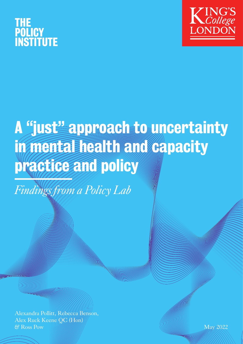



# A "just" approach to uncertainty in mental health and capacity practice and policy

*Findings from a Policy Lab*

Alexandra Pollitt, Rebecca Benson, Alex Ruck Keene QC (Hon) & Ross Pow May 2022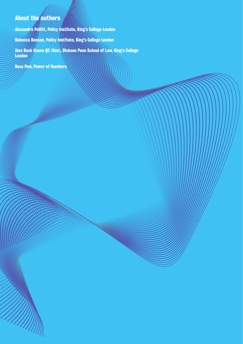#### **About the authors**

Alexandra Pollitt, Policy Institute, King's College London

Rebecca Benson, Policy Institute, King's College London

Alex Ruck Keene QC (Hon), Dickson Poon School of Law, King's College London

Ross Pow, Power of Numbers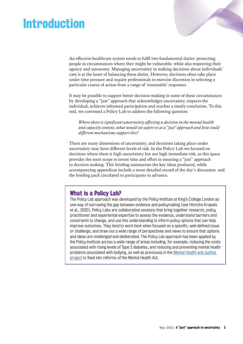### Introduction

An effective healthcare system needs to fulfil two fundamental duties: protecting people in circumstances where they might be vulnerable, while also respecting their agency and autonomy. Managing uncertainty in making decisions about individuals' care is at the heart of balancing these duties. However, decisions often take place under time pressure and require professionals to exercise discretion in selecting a particular course of action from a range of 'reasonable' responses.

It may be possible to support better decision-making in some of these circumstances by developing a "just" approach that acknowledges uncertainty, respects the individual, achieves informed participation and reaches a timely conclusion. To this end, we convened a Policy Lab to address the following question:

*Where there is significant uncertainty affecting a decision in the mental health and capacity context, what would we aspire to as a "just" approach and how could different mechanisms support this?*

There are many dimensions of uncertainty, and decisions taking place under uncertainty may have different levels of risk. In the Policy Lab we focused on decisions where there is high uncertainty but not high immediate risk, as this space provides the most scope to invest time and effort in ensuring a "just" approach to decision making. This briefing summarises the key ideas produced, while accompanying appendices include a more detailed record of the day's discussion and the briefing pack circulated to participants in advance.

#### What is a Policy Lab?

The Policy Lab approach was developed by the Policy Institute at King's College London as one way of narrowing the gap between evidence and policymaking (see Hinrichs-Krapels et al., 2020). Policy Labs are collaborative sessions that bring together research, policy, practitioner and experiential expertise to assess the evidence, understand barriers and constraints to change, and use this understanding to inform policy options that can help improve outcomes. They tend to work best when focused on a specific, well-defined issue or challenge, and draw out a wide range of perspectives and views to ensure that options and ideas are challenged and deliberated. The Policy Lab approach has been applied by the Policy Institute across a wide range of areas including, for example, reducing the costs associated with rising levels of Type 2 diabetes, and reducing and preventing mental health problems associated with bullying, as well as previously in the [Mental Health and Justice](https://www.kcl.ac.uk/policy-institute/research-analysis/future-the-mental-health-act)  [project](https://www.kcl.ac.uk/policy-institute/research-analysis/future-the-mental-health-act) to feed into reforms of the Mental Health Act.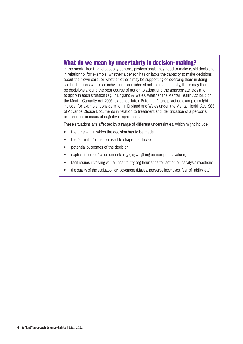#### What do we mean by uncertainty in decision-making?

In the mental health and capacity context, professionals may need to make rapid decisions in relation to, for example, whether a person has or lacks the capacity to make decisions about their own care, or whether others may be supporting or coercing them in doing so. In situations where an individual is considered not to have capacity, there may then be decisions around the best course of action to adopt and the appropriate legislation to apply in each situation (eg, in England & Wales, whether the Mental Health Act 1983 or the Mental Capacity Act 2005 is appropriate). Potential future practice examples might include, for example, consideration in England and Wales under the Mental Health Act 1983 of Advance Choice Documents in relation to treatment and identification of a person's preferences in cases of cognitive impairment.

These situations are affected by a range of different uncertainties, which might include:

- the time within which the decision has to be made
- the factual information used to shape the decision
- potential outcomes of the decision
- explicit issues of value uncertainty (eg weighing up competing values)
- tacit issues involving value uncertainty (eg heuristics for action or paralysis reactions)
- the quality of the evaluation or judgement (biases, perverse incentives, fear of liability, etc).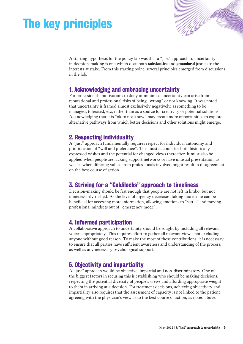## The key principles

A starting hypothesis for the policy lab was that a "just" approach to uncertainty in decision-making is one which does both substantive and procedural justice to the interests at stake. From this starting point, several principles emerged from discussions in the lab.

a a chuid ann an Chuid an Chuid an Chuid an Chuid an Chuid an Chuid an Chuid an Chuid an Chuid an Chuid an Chu

#### 1. Acknowledging and embracing uncertainty

For professionals, motivations to deny or minimise uncertainty can arise from reputational and professional risks of being "wrong" or not knowing. It was noted that uncertainty is framed almost exclusively negatively, as something to be managed, tolerated, etc, rather than as a source for creativity or potential solutions. Acknowledging that it is "ok to not know" may create more opportunities to explore alternative pathways from which better decisions and other solutions might emerge.

#### 2. Respecting individuality

A "just" approach fundamentally requires respect for individual autonomy and prioritisation of "will and preference". This must account for both historically expressed wishes and the potential for changed views thereafter. It must also be applied when people are lacking support networks or have unusual presentation, as well as when differing values from professionals involved might result in disagreement on the best course of action.

#### 3. Striving for a "Goldilocks" approach to timeliness

Decision-making should be fast enough that people are not left in limbo, but not unnecessarily rushed. As the level of urgency decreases, taking more time can be beneficial for accessing more information, allowing emotions to "settle" and moving professional mindsets out of "emergency mode".

#### 4. Informed participation

A collaborative approach to uncertainty should be sought by including all relevant voices appropriately. This requires effort to gather all relevant views, not excluding anyone without good reason. To make the most of these contributions, it is necessary to ensure that all parties have sufficient awareness and understanding of the process, as well as any necessary psychological support.

#### 5. Objectivity and impartiality

A "just" approach would be objective, impartial and non-discriminatory. One of the biggest factors in securing this is establishing who should be making decisions, respecting the potential diversity of people's views and affording appropriate weight to them in arriving at a decision. For treatment decisions, achieving objectivity and impartiality also requires that the assessment of capacity is not linked to the patient agreeing with the physician's view as to the best course of action, as noted above.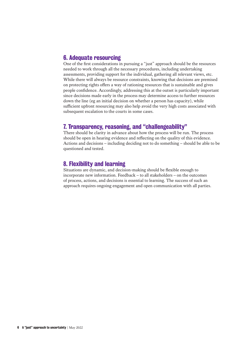#### 6. Adequate resourcing

One of the first considerations in pursuing a "just" approach should be the resources needed to work through all the necessary procedures, including undertaking assessments, providing support for the individual, gathering all relevant views, etc. While there will always be resource constraints, knowing that decisions are premised on protecting rights offers a way of rationing resources that is sustainable and gives people confidence. Accordingly, addressing this at the outset is particularly important since decisions made early in the process may determine access to further resources down the line (eg an initial decision on whether a person has capacity), while sufficient upfront resourcing may also help avoid the very high costs associated with subsequent escalation to the courts in some cases.

#### 7. Transparency, reasoning, and "challengeability"

There should be clarity in advance about how the process will be run. The process should be open in hearing evidence and reflecting on the quality of this evidence. Actions and decisions – including deciding not to do something – should be able to be questioned and tested.

#### 8. Flexibility and learning

Situations are dynamic, and decision-making should be flexible enough to incorporate new information. Feedback – to all stakeholders – on the outcomes of process, actions, and decisions is essential to learning. The success of such an approach requires ongoing engagement and open communication with all parties.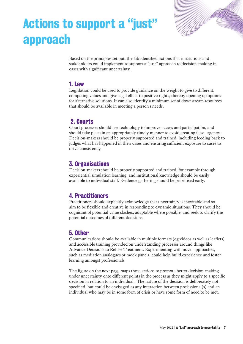

## Actions to support a "just" approach

Based on the principles set out, the lab identified actions that institutions and stakeholders could implement to support a "just" approach to decision-making in cases with significant uncertainty.

#### 1. Law

Legislation could be used to provide guidance on the weight to give to different, competing values and give legal effect to positive rights, thereby opening up options for alternative solutions. It can also identify a minimum set of downstream resources that should be available in meeting a person's needs.

#### 2. Courts

Court processes should use technology to improve access and participation, and should take place in an appropriately timely manner to avoid creating false urgency. Decision-makers should be properly supported and trained, including feeding back to judges what has happened in their cases and ensuring sufficient exposure to cases to drive consistency.

#### 3. Organisations

Decision-makers should be properly supported and trained, for example through experiential simulation learning, and institutional knowledge should be easily available to individual staff. Evidence gathering should be prioritised early.

#### 4. Practitioners

Practitioners should explicitly acknowledge that uncertainty is inevitable and so aim to be flexible and creative in responding to dynamic situations. They should be cognisant of potential value clashes, adaptable where possible, and seek to clarify the potential outcomes of different decisions.

#### 5. Other

Communications should be available in multiple formats (eg videos as well as leaflets) and accessible training provided on understanding processes around things like Advance Decisions to Refuse Treatment. Experimenting with novel approaches, such as mediation analogues or mock panels, could help build experience and foster learning amongst professionals.

The figure on the next page maps these actions to promote better decision-making under uncertainty onto different points in the process as they might apply to a specific decision in relation to an individual. The nature of the decision is deliberately not specified, but could be envisaged as any interaction between professional(s) and an individual who may be in some form of crisis or have some form of need to be met.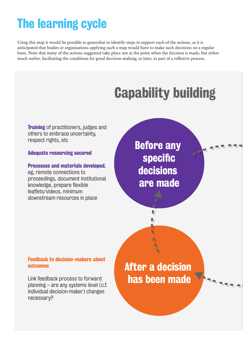## The learning cycle

Using this map it would be possible to generalise to identify steps to support each of the actions, as it is anticipated that bodies or organisations applying such a map would have to make such decisions on a regular basis. Note that many of the actions suggested take place not at the point when the decision is made, but either much earlier, facilitating the conditions for good decision-making, or later, as part of a reflexive process.

## **Capability building**

**Training** of practitioners, judges and others to embrace uncertainty, respect rights, etc

#### Adequate resourcing secured

#### Processes and materials developed,

eg, remote connections to proceedings, document institutional knowledge, prepare flexible leaflets/videos, minimum downstream resources in place

### Before any specific decisions are made

I. N.

Ū.

Feedback to decision-makers about outcomes

Link feedback process to forward planning – are any systems level (c.f. individual decision-maker) changes necessary?

After a decision has been made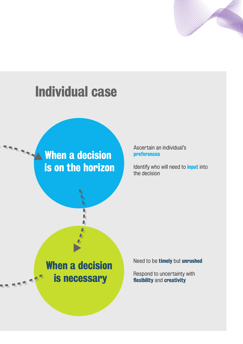

## **Individual case**

**When a decision** is on the horizon

Ascertain an individual's preferences

Identify who will need to *input* into the decision

### When a decision is necessary

Г D D

Need to be timely but unrushed

Respond to uncertainty with flexibility and creativity